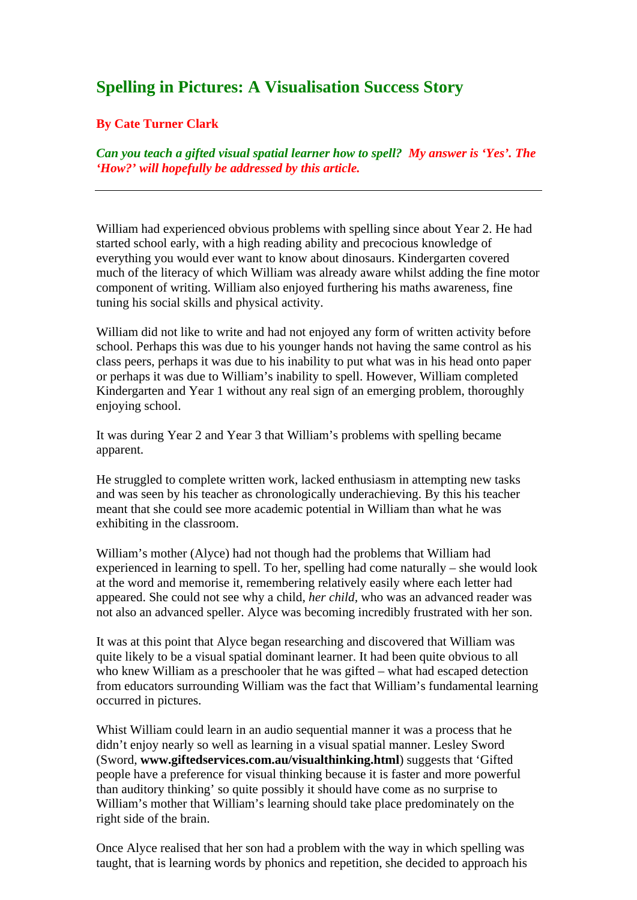# **Spelling in Pictures: A Visualisation Success Story**

# **By Cate Turner Clark**

*Can you teach a gifted visual spatial learner how to spell? My answer is 'Yes'. The 'How?' will hopefully be addressed by this article.* 

William had experienced obvious problems with spelling since about Year 2. He had started school early, with a high reading ability and precocious knowledge of everything you would ever want to know about dinosaurs. Kindergarten covered much of the literacy of which William was already aware whilst adding the fine motor component of writing. William also enjoyed furthering his maths awareness, fine tuning his social skills and physical activity.

William did not like to write and had not enjoyed any form of written activity before school. Perhaps this was due to his younger hands not having the same control as his class peers, perhaps it was due to his inability to put what was in his head onto paper or perhaps it was due to William's inability to spell. However, William completed Kindergarten and Year 1 without any real sign of an emerging problem, thoroughly enjoying school.

It was during Year 2 and Year 3 that William's problems with spelling became apparent.

He struggled to complete written work, lacked enthusiasm in attempting new tasks and was seen by his teacher as chronologically underachieving. By this his teacher meant that she could see more academic potential in William than what he was exhibiting in the classroom.

William's mother (Alyce) had not though had the problems that William had experienced in learning to spell. To her, spelling had come naturally – she would look at the word and memorise it, remembering relatively easily where each letter had appeared. She could not see why a child, *her child,* who was an advanced reader was not also an advanced speller. Alyce was becoming incredibly frustrated with her son.

It was at this point that Alyce began researching and discovered that William was quite likely to be a visual spatial dominant learner. It had been quite obvious to all who knew William as a preschooler that he was gifted – what had escaped detection from educators surrounding William was the fact that William's fundamental learning occurred in pictures.

Whist William could learn in an audio sequential manner it was a process that he didn't enjoy nearly so well as learning in a visual spatial manner. Lesley Sword (Sword, **www.giftedservices.com.au/visualthinking.html**) suggests that 'Gifted people have a preference for visual thinking because it is faster and more powerful than auditory thinking' so quite possibly it should have come as no surprise to William's mother that William's learning should take place predominately on the right side of the brain.

Once Alyce realised that her son had a problem with the way in which spelling was taught, that is learning words by phonics and repetition, she decided to approach his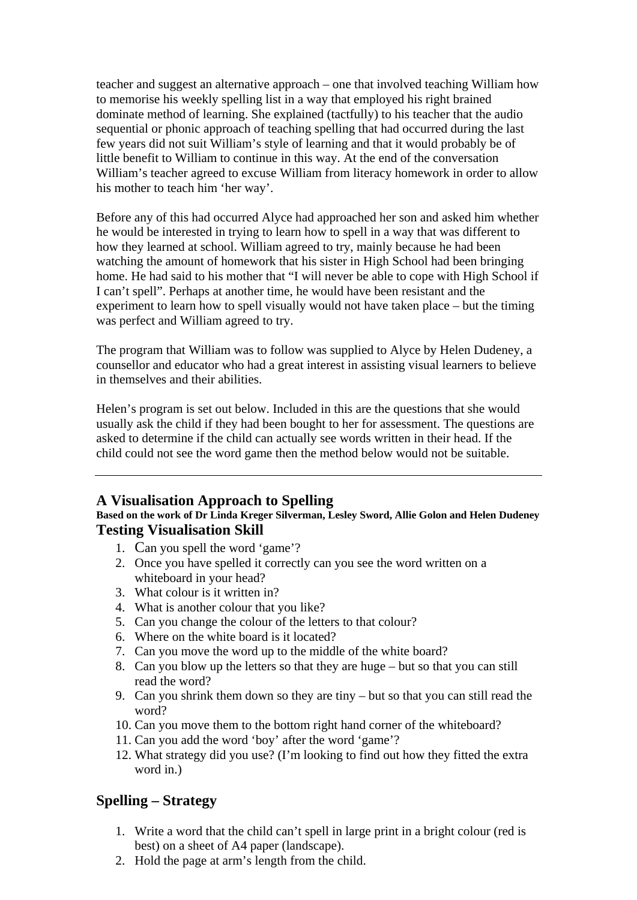teacher and suggest an alternative approach – one that involved teaching William how to memorise his weekly spelling list in a way that employed his right brained dominate method of learning. She explained (tactfully) to his teacher that the audio sequential or phonic approach of teaching spelling that had occurred during the last few years did not suit William's style of learning and that it would probably be of little benefit to William to continue in this way. At the end of the conversation William's teacher agreed to excuse William from literacy homework in order to allow his mother to teach him 'her way'.

Before any of this had occurred Alyce had approached her son and asked him whether he would be interested in trying to learn how to spell in a way that was different to how they learned at school. William agreed to try, mainly because he had been watching the amount of homework that his sister in High School had been bringing home. He had said to his mother that "I will never be able to cope with High School if I can't spell". Perhaps at another time, he would have been resistant and the experiment to learn how to spell visually would not have taken place – but the timing was perfect and William agreed to try.

The program that William was to follow was supplied to Alyce by Helen Dudeney, a counsellor and educator who had a great interest in assisting visual learners to believe in themselves and their abilities.

Helen's program is set out below. Included in this are the questions that she would usually ask the child if they had been bought to her for assessment. The questions are asked to determine if the child can actually see words written in their head. If the child could not see the word game then the method below would not be suitable.

# **A Visualisation Approach to Spelling**

# **Based on the work of Dr Linda Kreger Silverman, Lesley Sword, Allie Golon and Helen Dudeney Testing Visualisation Skill**

- 1. Can you spell the word 'game'?
- 2. Once you have spelled it correctly can you see the word written on a whiteboard in your head?
- 3. What colour is it written in?
- 4. What is another colour that you like?
- 5. Can you change the colour of the letters to that colour?
- 6. Where on the white board is it located?
- 7. Can you move the word up to the middle of the white board?
- 8. Can you blow up the letters so that they are huge but so that you can still read the word?
- 9. Can you shrink them down so they are tiny but so that you can still read the word?
- 10. Can you move them to the bottom right hand corner of the whiteboard?
- 11. Can you add the word 'boy' after the word 'game'?
- 12. What strategy did you use? (I'm looking to find out how they fitted the extra word in.)

# **Spelling – Strategy**

- 1. Write a word that the child can't spell in large print in a bright colour (red is best) on a sheet of A4 paper (landscape).
- 2. Hold the page at arm's length from the child.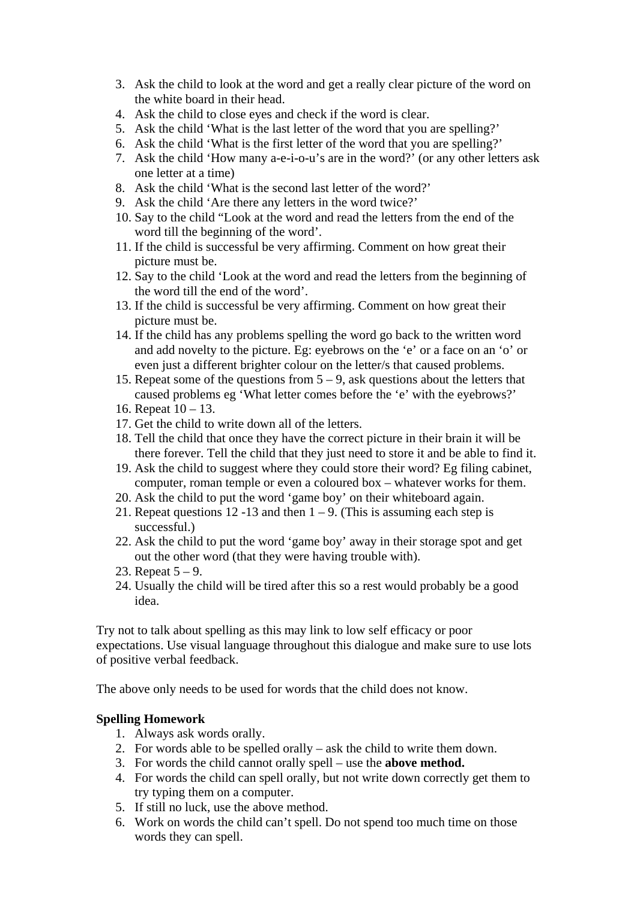- 3. Ask the child to look at the word and get a really clear picture of the word on the white board in their head.
- 4. Ask the child to close eyes and check if the word is clear.
- 5. Ask the child 'What is the last letter of the word that you are spelling?'
- 6. Ask the child 'What is the first letter of the word that you are spelling?'
- 7. Ask the child 'How many a-e-i-o-u's are in the word?' (or any other letters ask one letter at a time)
- 8. Ask the child 'What is the second last letter of the word?'
- 9. Ask the child 'Are there any letters in the word twice?'
- 10. Say to the child "Look at the word and read the letters from the end of the word till the beginning of the word'.
- 11. If the child is successful be very affirming. Comment on how great their picture must be.
- 12. Say to the child 'Look at the word and read the letters from the beginning of the word till the end of the word'.
- 13. If the child is successful be very affirming. Comment on how great their picture must be.
- 14. If the child has any problems spelling the word go back to the written word and add novelty to the picture. Eg: eyebrows on the 'e' or a face on an 'o' or even just a different brighter colour on the letter/s that caused problems.
- 15. Repeat some of the questions from  $5 9$ , ask questions about the letters that caused problems eg 'What letter comes before the 'e' with the eyebrows?'
- 16. Repeat 10 13.
- 17. Get the child to write down all of the letters.
- 18. Tell the child that once they have the correct picture in their brain it will be there forever. Tell the child that they just need to store it and be able to find it.
- 19. Ask the child to suggest where they could store their word? Eg filing cabinet, computer, roman temple or even a coloured box – whatever works for them.
- 20. Ask the child to put the word 'game boy' on their whiteboard again.
- 21. Repeat questions 12 -13 and then  $1 9$ . (This is assuming each step is successful.)
- 22. Ask the child to put the word 'game boy' away in their storage spot and get out the other word (that they were having trouble with).
- 23. Repeat  $5 9$ .
- 24. Usually the child will be tired after this so a rest would probably be a good idea.

Try not to talk about spelling as this may link to low self efficacy or poor expectations. Use visual language throughout this dialogue and make sure to use lots of positive verbal feedback.

The above only needs to be used for words that the child does not know.

# **Spelling Homework**

- 1. Always ask words orally.
- 2. For words able to be spelled orally ask the child to write them down.
- 3. For words the child cannot orally spell use the **above method.**
- 4. For words the child can spell orally, but not write down correctly get them to try typing them on a computer.
- 5. If still no luck, use the above method.
- 6. Work on words the child can't spell. Do not spend too much time on those words they can spell.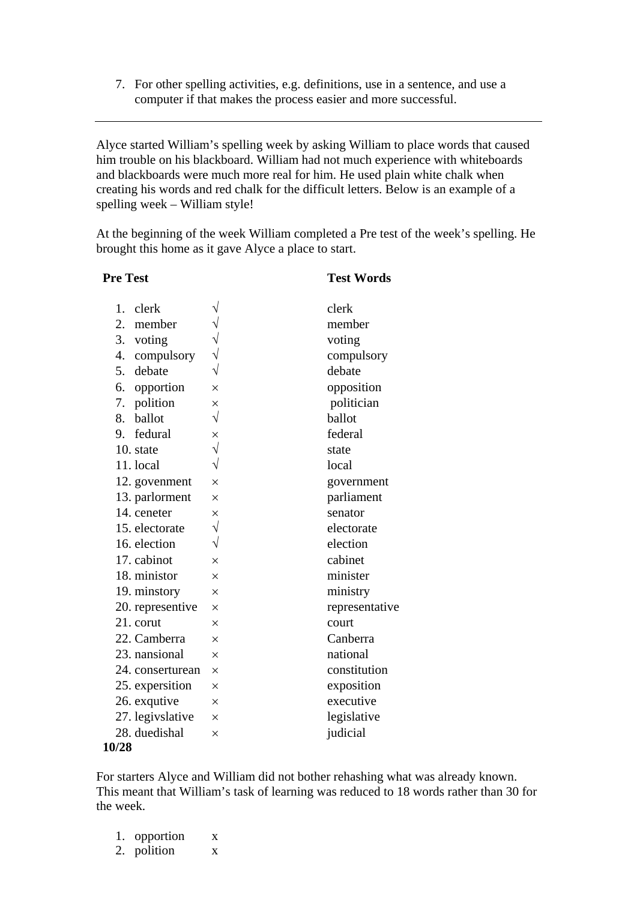7. For other spelling activities, e.g. definitions, use in a sentence, and use a computer if that makes the process easier and more successful.

Alyce started William's spelling week by asking William to place words that caused him trouble on his blackboard. William had not much experience with whiteboards and blackboards were much more real for him. He used plain white chalk when creating his words and red chalk for the difficult letters. Below is an example of a spelling week – William style!

At the beginning of the week William completed a Pre test of the week's spelling. He brought this home as it gave Alyce a place to start.

# **Pre Test Words** 1. clerk  $\sqrt{ }$  clerk 2. member  $\sqrt{ }$  member 3. voting  $\sqrt{ }$  voting 4. compulsory  $\sqrt{ }$  compulsory 5. debate  $\sqrt{\ }$  debate 6. opportion × opposition 7. polition  $\times$  politician 8. ballot  $\sqrt{ }$  ballot 9. fedural  $\times$  federal 10. state √ state 11. local  $\sqrt{ }$  local 12. government  $\times$  government 13. parlorment  $\times$  parliament 14. ceneter  $\times$  senator 15. electorate  $\sqrt{ }$  electorate 16. election  $\sqrt{ }$  election 17. cabinot  $\times$  cabinet 18. ministor  $\times$  minister 19. minstory  $\times$  ministry 20. representive  $\times$  representative 21. corut  $\times$  court 22. Camberra  $\times$  Canberra 23. nansional  $\times$  national 24. conserturean  $\times$  constitution 25. expersition  $\times$  exposition 26. exqutive  $\times$  executive 27. legivslative  $\times$  legislative 28. duedishal  $\times$  judicial

### **10/28**

For starters Alyce and William did not bother rehashing what was already known. This meant that William's task of learning was reduced to 18 words rather than 30 for the week.

1. opportion x 2. polition x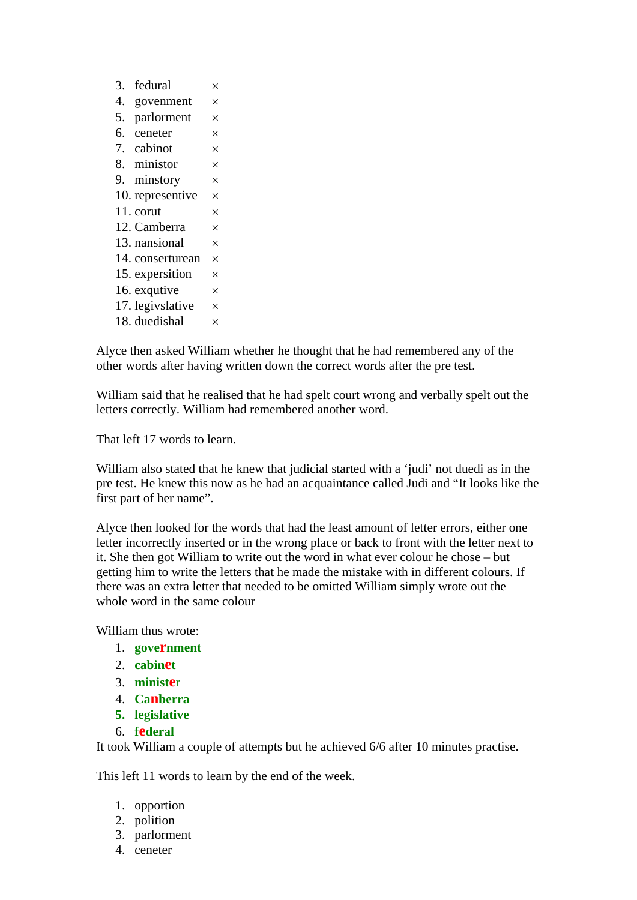| 3. | fedural          | ×        |
|----|------------------|----------|
|    |                  |          |
| 4. | govenment        | $\times$ |
| 5. | parlorment       | $\times$ |
|    | 6. ceneter       | $\times$ |
|    | 7. cabinot       | $\times$ |
|    | 8. ministor      | $\times$ |
|    | 9. minstory      | $\times$ |
|    | 10. representive | $\times$ |
|    | 11. corut        | $\times$ |
|    | 12. Camberra     | $\times$ |
|    | 13. nansional    | $\times$ |
|    | 14. conserturean | $\times$ |
|    | 15. expersition  | $\times$ |
|    | 16. exqutive     | $\times$ |
|    | 17. legivslative | $\times$ |
|    | 18. duedishal    | $\times$ |

Alyce then asked William whether he thought that he had remembered any of the other words after having written down the correct words after the pre test.

William said that he realised that he had spelt court wrong and verbally spelt out the letters correctly. William had remembered another word.

That left 17 words to learn.

William also stated that he knew that judicial started with a 'judi' not duedi as in the pre test. He knew this now as he had an acquaintance called Judi and "It looks like the first part of her name".

Alyce then looked for the words that had the least amount of letter errors, either one letter incorrectly inserted or in the wrong place or back to front with the letter next to it. She then got William to write out the word in what ever colour he chose – but getting him to write the letters that he made the mistake with in different colours. If there was an extra letter that needed to be omitted William simply wrote out the whole word in the same colour

William thus wrote:

- 1. **government**
- 2. **cabinet**
- 3. **ministe**r
- 4. **Canberra**
- **5. legislative**
- 6. **federal**

It took William a couple of attempts but he achieved 6/6 after 10 minutes practise.

This left 11 words to learn by the end of the week.

- 1. opportion
- 2. polition
- 3. parlorment
- 4. ceneter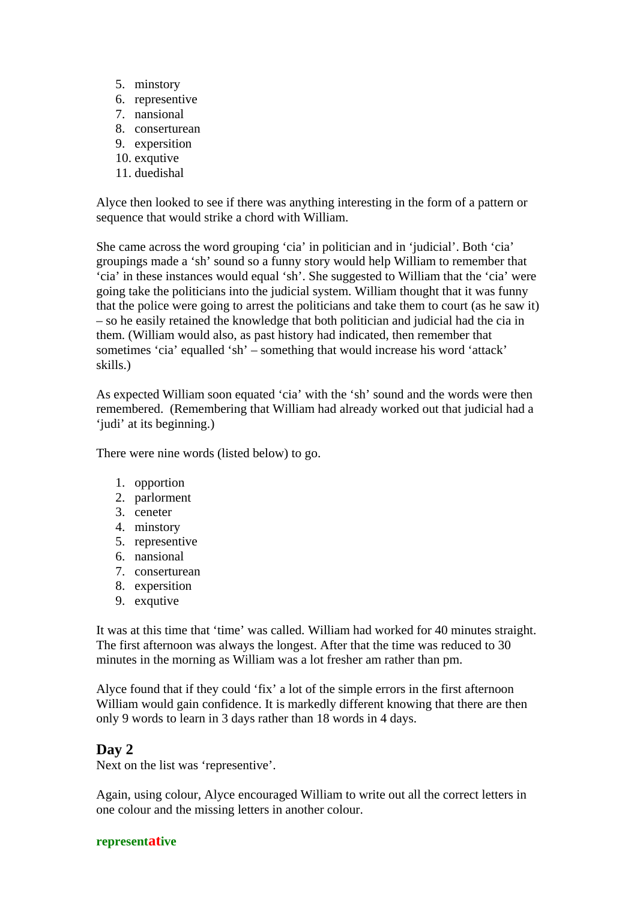- 5. minstory
- 6. representive
- 7. nansional
- 8. conserturean
- 9. expersition
- 10. exqutive
- 11. duedishal

Alyce then looked to see if there was anything interesting in the form of a pattern or sequence that would strike a chord with William.

She came across the word grouping 'cia' in politician and in 'judicial'. Both 'cia' groupings made a 'sh' sound so a funny story would help William to remember that 'cia' in these instances would equal 'sh'. She suggested to William that the 'cia' were going take the politicians into the judicial system. William thought that it was funny that the police were going to arrest the politicians and take them to court (as he saw it) – so he easily retained the knowledge that both politician and judicial had the cia in them. (William would also, as past history had indicated, then remember that sometimes 'cia' equalled 'sh' – something that would increase his word 'attack' skills.)

As expected William soon equated 'cia' with the 'sh' sound and the words were then remembered. (Remembering that William had already worked out that judicial had a 'judi' at its beginning.)

There were nine words (listed below) to go.

- 1. opportion
- 2. parlorment
- 3. ceneter
- 4. minstory
- 5. representive
- 6. nansional
- 7. conserturean
- 8. expersition
- 9. exqutive

It was at this time that 'time' was called. William had worked for 40 minutes straight. The first afternoon was always the longest. After that the time was reduced to 30 minutes in the morning as William was a lot fresher am rather than pm.

Alyce found that if they could 'fix' a lot of the simple errors in the first afternoon William would gain confidence. It is markedly different knowing that there are then only 9 words to learn in 3 days rather than 18 words in 4 days.

# **Day 2**

Next on the list was 'representive'.

Again, using colour, Alyce encouraged William to write out all the correct letters in one colour and the missing letters in another colour.

### **representative**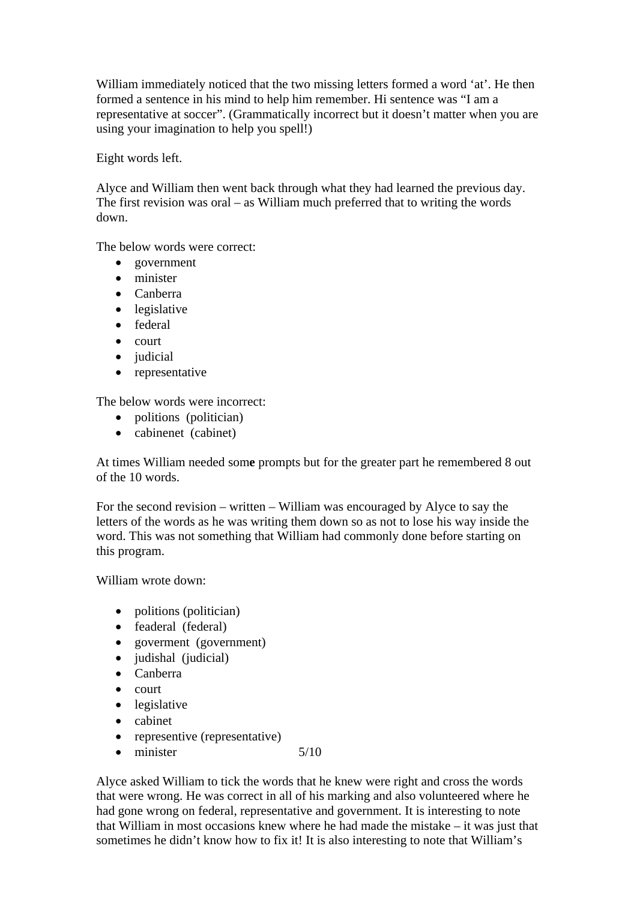William immediately noticed that the two missing letters formed a word 'at'. He then formed a sentence in his mind to help him remember. Hi sentence was "I am a representative at soccer". (Grammatically incorrect but it doesn't matter when you are using your imagination to help you spell!)

Eight words left.

Alyce and William then went back through what they had learned the previous day. The first revision was oral – as William much preferred that to writing the words down.

The below words were correct:

- government
- minister
- Canberra
- legislative
- federal
- court
- judicial
- representative

The below words were incorrect:

- politions (politician)
- cabinenet (cabinet)

At times William needed som**e** prompts but for the greater part he remembered 8 out of the 10 words.

For the second revision – written – William was encouraged by Alyce to say the letters of the words as he was writing them down so as not to lose his way inside the word. This was not something that William had commonly done before starting on this program.

William wrote down:

- politions (politician)
- feaderal (federal)
- goverment (government)
- judishal (judicial)
- Canberra
- court
- legislative
- cabinet
- representive (representative)
- minister 5/10

Alyce asked William to tick the words that he knew were right and cross the words that were wrong. He was correct in all of his marking and also volunteered where he had gone wrong on federal, representative and government. It is interesting to note that William in most occasions knew where he had made the mistake – it was just that sometimes he didn't know how to fix it! It is also interesting to note that William's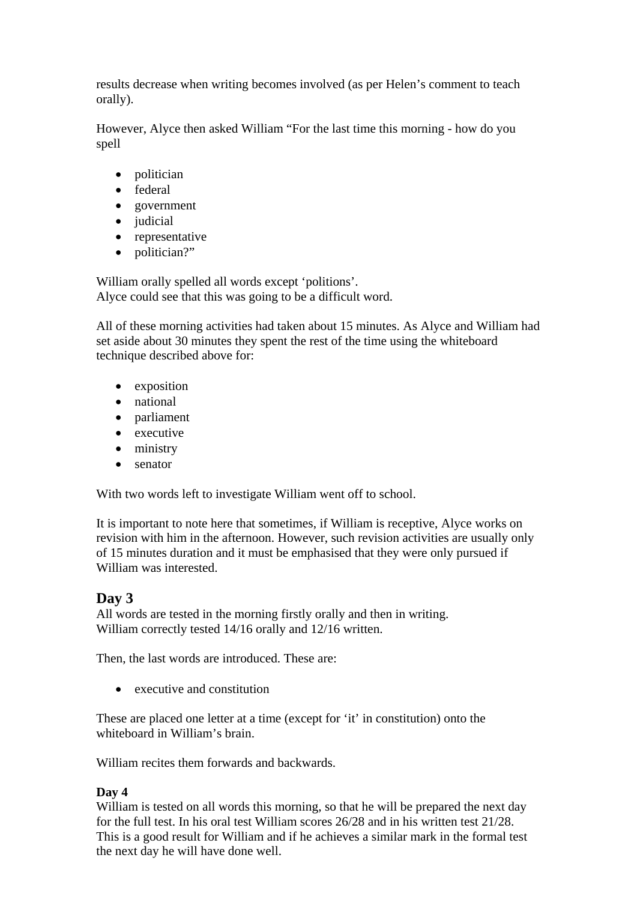results decrease when writing becomes involved (as per Helen's comment to teach orally).

However, Alyce then asked William "For the last time this morning - how do you spell

- politician
- federal
- government
- judicial
- representative
- politician?"

William orally spelled all words except 'politions'. Alyce could see that this was going to be a difficult word.

All of these morning activities had taken about 15 minutes. As Alyce and William had set aside about 30 minutes they spent the rest of the time using the whiteboard technique described above for:

- exposition
- national
- parliament
- executive
- ministry
- senator

With two words left to investigate William went off to school.

It is important to note here that sometimes, if William is receptive, Alyce works on revision with him in the afternoon. However, such revision activities are usually only of 15 minutes duration and it must be emphasised that they were only pursued if William was interested.

# **Day 3**

All words are tested in the morning firstly orally and then in writing. William correctly tested 14/16 orally and 12/16 written.

Then, the last words are introduced. These are:

• executive and constitution

These are placed one letter at a time (except for 'it' in constitution) onto the whiteboard in William's brain.

William recites them forwards and backwards.

# **Day 4**

William is tested on all words this morning, so that he will be prepared the next day for the full test. In his oral test William scores 26/28 and in his written test 21/28. This is a good result for William and if he achieves a similar mark in the formal test the next day he will have done well.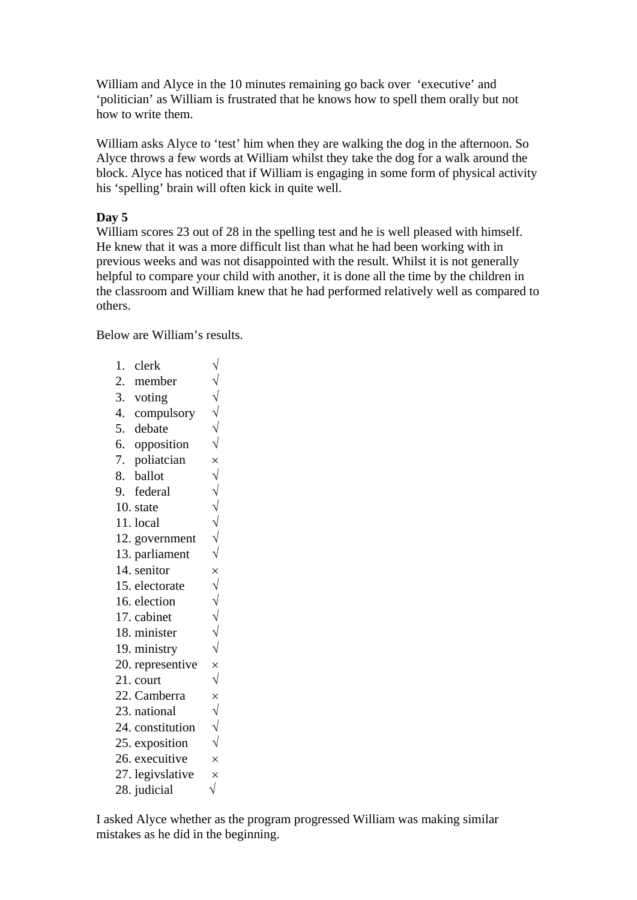William and Alyce in the 10 minutes remaining go back over 'executive' and 'politician' as William is frustrated that he knows how to spell them orally but not how to write them.

William asks Alyce to 'test' him when they are walking the dog in the afternoon. So Alyce throws a few words at William whilst they take the dog for a walk around the block. Alyce has noticed that if William is engaging in some form of physical activity his 'spelling' brain will often kick in quite well.

## **Day 5**

William scores 23 out of 28 in the spelling test and he is well pleased with himself. He knew that it was a more difficult list than what he had been working with in previous weeks and was not disappointed with the result. Whilst it is not generally helpful to compare your child with another, it is done all the time by the children in the classroom and William knew that he had performed relatively well as compared to others.

Below are William's results.

1. clerk  $\sqrt{ }$ 2. member √ 3. voting  $\sqrt{ }$ 4. compulsory  $\sqrt{ }$ 5. debate  $\sqrt{6}$ , opposition  $\sqrt{6}$ 6. opposition 7. poliatcian  $\times$ <br>8. ballot  $\sqrt{ }$ 8. ballot 9. federal  $\sqrt{ }$ 10. state  $\sqrt{\frac{11 \text{ local}}{\sqrt{11}}$  $11.$  local 12. government  $\sqrt{ }$ 13. parliament  $\sqrt{ }$ 14. senitor  $\times$ 15. electorate  $\sqrt{ }$ 16. election  $\sqrt{ }$ 17. cabinet  $\sqrt{ }$ 18. minister √ 19. ministry  $\sqrt{}$ 20. representive  $\times$ 21. court  $\sqrt{ }$ 22. Camberra  $\times$ 23. national √ 24. constitution  $\sqrt{ }$ 25. exposition  $\sqrt{ }$ 26. execuitive  $\times$ 27. legivslative  $\times$ 28. judicial  $\sqrt{}$ 

I asked Alyce whether as the program progressed William was making similar mistakes as he did in the beginning.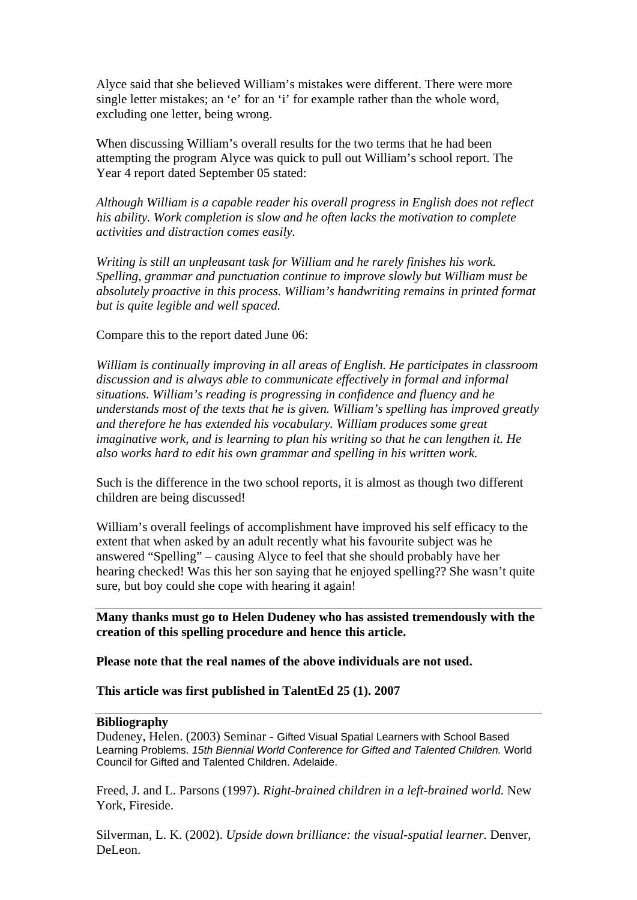Alyce said that she believed William's mistakes were different. There were more single letter mistakes; an 'e' for an 'i' for example rather than the whole word, excluding one letter, being wrong.

When discussing William's overall results for the two terms that he had been attempting the program Alyce was quick to pull out William's school report. The Year 4 report dated September 05 stated:

*Although William is a capable reader his overall progress in English does not reflect his ability. Work completion is slow and he often lacks the motivation to complete activities and distraction comes easily.* 

*Writing is still an unpleasant task for William and he rarely finishes his work. Spelling, grammar and punctuation continue to improve slowly but William must be absolutely proactive in this process. William's handwriting remains in printed format but is quite legible and well spaced.* 

Compare this to the report dated June 06:

*William is continually improving in all areas of English. He participates in classroom discussion and is always able to communicate effectively in formal and informal situations. William's reading is progressing in confidence and fluency and he understands most of the texts that he is given. William's spelling has improved greatly and therefore he has extended his vocabulary. William produces some great imaginative work, and is learning to plan his writing so that he can lengthen it. He also works hard to edit his own grammar and spelling in his written work.* 

Such is the difference in the two school reports, it is almost as though two different children are being discussed!

William's overall feelings of accomplishment have improved his self efficacy to the extent that when asked by an adult recently what his favourite subject was he answered "Spelling" – causing Alyce to feel that she should probably have her hearing checked! Was this her son saying that he enjoyed spelling?? She wasn't quite sure, but boy could she cope with hearing it again!

**Many thanks must go to Helen Dudeney who has assisted tremendously with the creation of this spelling procedure and hence this article.** 

**Please note that the real names of the above individuals are not used.** 

**This article was first published in TalentEd 25 (1). 2007** 

### **Bibliography**

Dudeney, Helen. (2003) Seminar - Gifted Visual Spatial Learners with School Based Learning Problems. *15th Biennial World Conference for Gifted and Talented Children.* World Council for Gifted and Talented Children. Adelaide.

Freed, J. and L. Parsons (1997). *Right-brained children in a left-brained world.* New York, Fireside.

Silverman, L. K. (2002). *Upside down brilliance: the visual-spatial learner.* Denver, DeLeon.